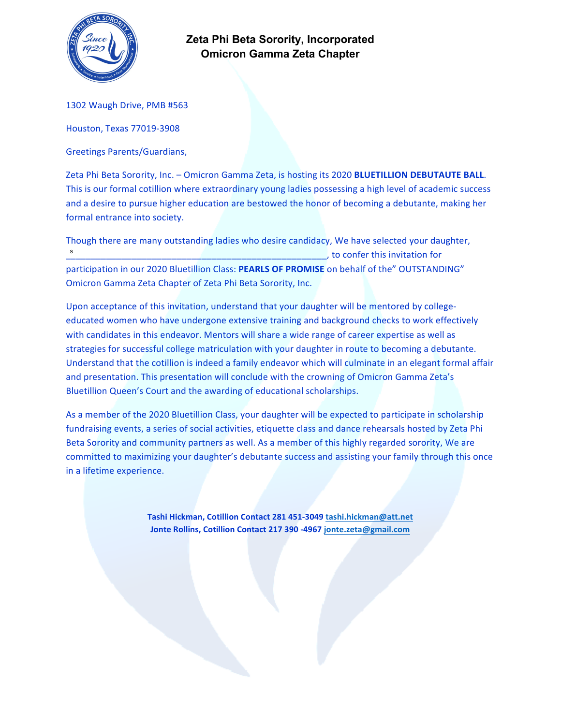

1302 Waugh Drive, PMB #563

Houston, Texas 77019-3908

Greetings Parents/Guardians, 

Zeta Phi Beta Sorority, Inc. - Omicron Gamma Zeta, is hosting its 2020 **BLUETILLION DEBUTAUTE BALL**. This is our formal cotillion where extraordinary young ladies possessing a high level of academic success and a desire to pursue higher education are bestowed the honor of becoming a debutante, making her formal entrance into society.

Though there are many outstanding ladies who desire candidacy, We have selected your daughter, \_\_\_\_\_\_\_\_\_\_\_\_\_\_\_\_\_\_\_\_\_\_\_\_\_\_\_\_\_\_\_\_\_\_\_\_\_\_\_\_\_\_\_\_\_\_\_\_\_\_\_\_, to confer this invitation for participation in our 2020 Bluetillion Class: PEARLS OF PROMISE on behalf of the" OUTSTANDING" Omicron Gamma Zeta Chapter of Zeta Phi Beta Sorority, Inc. s

Upon acceptance of this invitation, understand that your daughter will be mentored by collegeeducated women who have undergone extensive training and background checks to work effectively with candidates in this endeavor. Mentors will share a wide range of career expertise as well as strategies for successful college matriculation with your daughter in route to becoming a debutante. Understand that the cotillion is indeed a family endeavor which will culminate in an elegant formal affair and presentation. This presentation will conclude with the crowning of Omicron Gamma Zeta's Bluetillion Queen's Court and the awarding of educational scholarships.

As a member of the 2020 Bluetillion Class, your daughter will be expected to participate in scholarship fundraising events, a series of social activities, etiquette class and dance rehearsals hosted by Zeta Phi Beta Sorority and community partners as well. As a member of this highly regarded sorority, We are committed to maximizing your daughter's debutante success and assisting your family through this once in a lifetime experience.

> Tashi Hickman, Cotillion Contact 281 451-3049 tashi.hickman@att.net **Jonte Rollins, Cotillion Contact 217 390 -4967 jonte.zeta@gmail.com**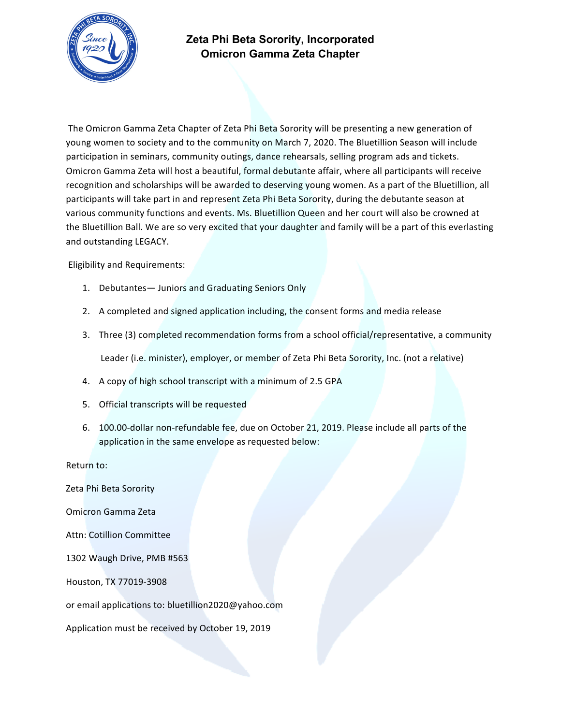

The Omicron Gamma Zeta Chapter of Zeta Phi Beta Sorority will be presenting a new generation of young women to society and to the community on March 7, 2020. The Bluetillion Season will include participation in seminars, community outings, dance rehearsals, selling program ads and tickets. Omicron Gamma Zeta will host a beautiful, formal debutante affair, where all participants will receive recognition and scholarships will be awarded to deserving young women. As a part of the Bluetillion, all participants will take part in and represent Zeta Phi Beta Sorority, during the debutante season at various community functions and events. Ms. Bluetillion Queen and her court will also be crowned at the Bluetillion Ball. We are so very excited that your daughter and family will be a part of this everlasting and outstanding LEGACY.

Eligibility and Requirements:

- 1. Debutantes- Juniors and Graduating Seniors Only
- 2. A completed and signed application including, the consent forms and media release
- 3. Three (3) completed recommendation forms from a school official/representative, a community Leader (i.e. minister), employer, or member of Zeta Phi Beta Sorority, Inc. (not a relative)
- 4. A copy of high school transcript with a minimum of 2.5 GPA
- 5. Official transcripts will be requested
- 6. 100.00-dollar non-refundable fee, due on October 21, 2019. Please include all parts of the application in the same envelope as requested below:

Return to:

Zeta Phi Beta Sorority Omicron Gamma Zeta Attn: Cotillion Committee 1302 Waugh Drive, PMB #563 Houston, TX 77019-3908 or email applications to: bluetillion2020@yahoo.com Application must be received by October 19, 2019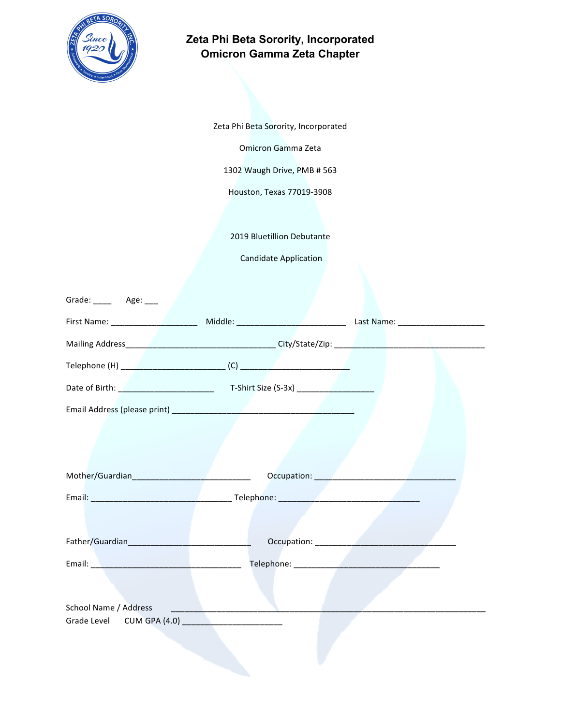

Zeta Phi Beta Sorority, Incorporated

Omicron Gamma Zeta

1302 Waugh Drive, PMB # 563

Houston, Texas 77019-3908

2019 Bluetillion Debutante

Candidate Application

| Grade: ______ Age: ____ |  |  |
|-------------------------|--|--|
|                         |  |  |
|                         |  |  |
|                         |  |  |
|                         |  |  |
|                         |  |  |
|                         |  |  |
| Mother/Guardian         |  |  |
|                         |  |  |
| Father/Guardian         |  |  |
|                         |  |  |
| School Name / Address   |  |  |
|                         |  |  |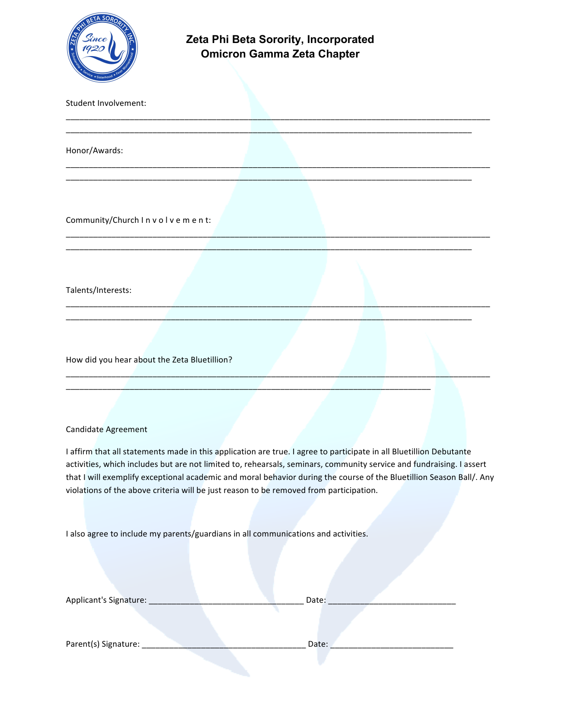

| Student Involvement:                                                                                                                                                                                                                                                                                                                                                                                                                                          |
|---------------------------------------------------------------------------------------------------------------------------------------------------------------------------------------------------------------------------------------------------------------------------------------------------------------------------------------------------------------------------------------------------------------------------------------------------------------|
| Honor/Awards:                                                                                                                                                                                                                                                                                                                                                                                                                                                 |
|                                                                                                                                                                                                                                                                                                                                                                                                                                                               |
| Community/Church Involvement:                                                                                                                                                                                                                                                                                                                                                                                                                                 |
|                                                                                                                                                                                                                                                                                                                                                                                                                                                               |
| Talents/Interests:                                                                                                                                                                                                                                                                                                                                                                                                                                            |
| How did you hear about the Zeta Bluetillion?                                                                                                                                                                                                                                                                                                                                                                                                                  |
| <b>Candidate Agreement</b>                                                                                                                                                                                                                                                                                                                                                                                                                                    |
| I affirm that all statements made in this application are true. I agree to participate in all Bluetillion Debutante<br>activities, which includes but are not limited to, rehearsals, seminars, community service and fundraising. I assert<br>that I will exemplify exceptional academic and moral behavior during the course of the Bluetillion Season Ball/. Any<br>violations of the above criteria will be just reason to be removed from participation. |

I also agree to include my parents/guardians in all communications and activities.

| Applicant's Signature: | Date: |
|------------------------|-------|
|                        |       |
|                        |       |
| Parent(s) Signature:   | Date: |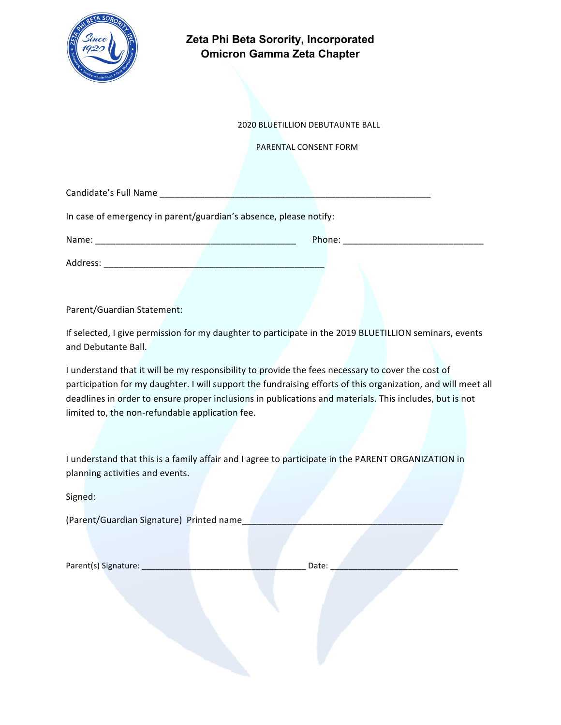

 2020 BLUETILLION DEBUTAUNTE BALL

PARENTAL CONSENT FORM

Candidate's Full Name \_\_\_\_\_\_\_\_\_\_\_\_\_\_\_\_\_\_\_\_\_\_\_\_\_\_\_\_\_\_\_\_\_\_\_\_\_\_\_\_\_\_\_\_\_\_\_\_\_\_\_\_\_\_

In case of emergency in parent/guardian's absence, please notify:

Address: \_\_\_\_\_\_\_\_\_\_\_\_\_\_\_\_\_\_\_\_\_\_\_\_\_\_\_\_\_\_\_\_\_\_\_\_\_\_\_\_\_\_\_\_

Name: \_\_\_\_\_\_\_\_\_\_\_\_\_\_\_\_\_\_\_\_\_\_\_\_\_\_\_\_\_\_\_\_\_\_\_\_\_\_\_\_ Phone: \_\_\_\_\_\_\_\_\_\_\_\_\_\_\_\_\_\_\_\_\_\_\_\_\_\_\_\_

Parent/Guardian Statement:

If selected, I give permission for my daughter to participate in the 2019 BLUETILLION seminars, events and Debutante Ball.

I understand that it will be my responsibility to provide the fees necessary to cover the cost of participation for my daughter. I will support the fundraising efforts of this organization, and will meet all deadlines in order to ensure proper inclusions in publications and materials. This includes, but is not limited to, the non-refundable application fee.

I understand that this is a family affair and I agree to participate in the PARENT ORGANIZATION in planning activities and events.

Signed: 

(Parent/Guardian Signature) Printed name

| Parent(s) Signature: |  |  |  |
|----------------------|--|--|--|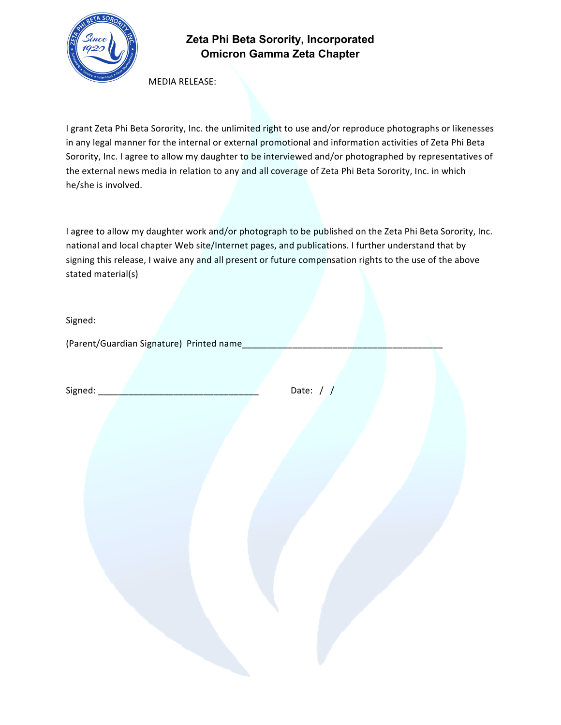

MEDIA RELEASE:

I grant Zeta Phi Beta Sorority, Inc. the unlimited right to use and/or reproduce photographs or likenesses in any legal manner for the internal or external promotional and information activities of Zeta Phi Beta Sorority, Inc. I agree to allow my daughter to be interviewed and/or photographed by representatives of the external news media in relation to any and all coverage of Zeta Phi Beta Sorority, Inc. in which he/she is involved.

I agree to allow my daughter work and/or photograph to be published on the Zeta Phi Beta Sorority, Inc. national and local chapter Web site/Internet pages, and publications. I further understand that by signing this release, I waive any and all present or future compensation rights to the use of the above stated material(s)

Signed: 

(Parent/Guardian Signature) Printed name

Signed:  $\Box$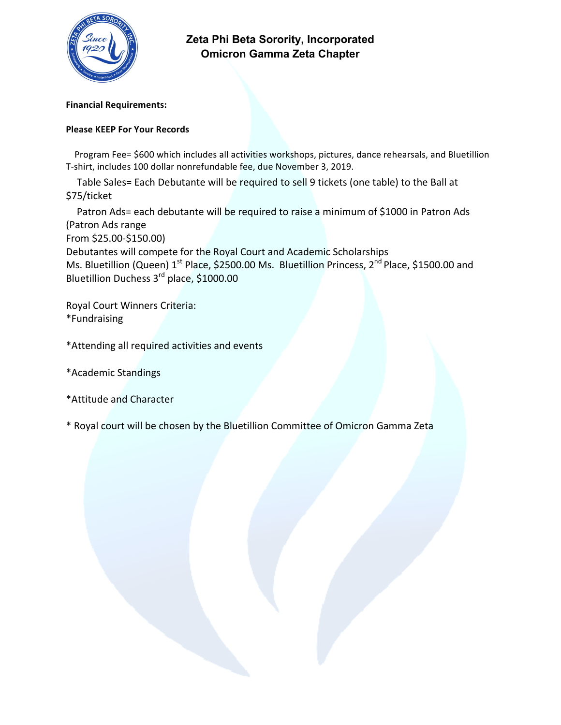

**Financial Requirements:**

### **Please KEEP For Your Records**

Program Fee= \$600 which includes all activities workshops, pictures, dance rehearsals, and Bluetillion T-shirt, includes 100 dollar nonrefundable fee, due November 3, 2019.

Table Sales= Each Debutante will be required to sell 9 tickets (one table) to the Ball at \$75/ticket

Patron Ads= each debutante will be required to raise a minimum of \$1000 in Patron Ads (Patron Ads range From \$25.00-\$150.00) Debutantes will compete for the Royal Court and Academic Scholarships Ms. Bluetillion (Queen) 1<sup>st</sup> Place, \$2500.00 Ms. Bluetillion Princess, 2<sup>nd</sup> Place, \$1500.00 and

Bluetillion Duchess 3<sup>rd</sup> place, \$1000.00

Royal Court Winners Criteria: \*Fundraising

\*Attending all required activities and events

- \*Academic Standings
- \*Attitude and Character

\* Royal court will be chosen by the Bluetillion Committee of Omicron Gamma Zeta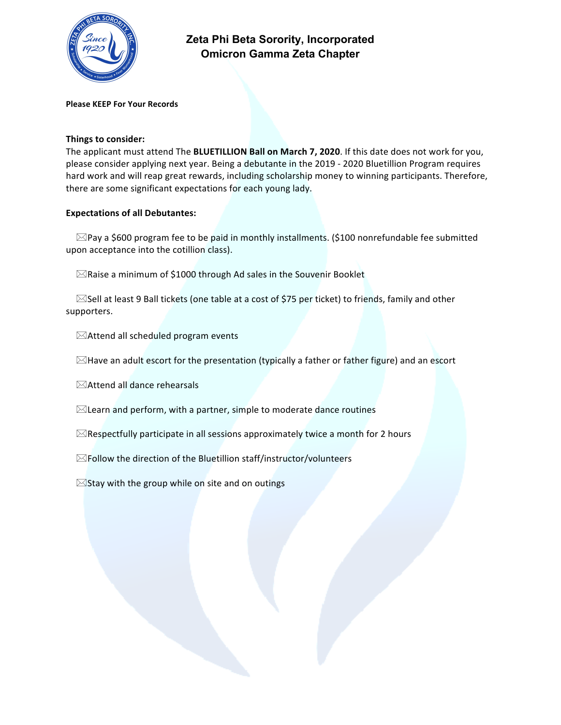

**Please KEEP For Your Records**

#### **Things to consider:**

The applicant must attend The **BLUETILLION Ball on March 7, 2020**. If this date does not work for you, please consider applying next year. Being a debutante in the 2019 - 2020 Bluetillion Program requires hard work and will reap great rewards, including scholarship money to winning participants. Therefore, there are some significant expectations for each young lady.

#### **Expectations of all Debutantes:**

 $\boxtimes$ Pay a \$600 program fee to be paid in monthly installments. (\$100 nonrefundable fee submitted upon acceptance into the cotillion class).

 $\boxtimes$ Raise a minimum of \$1000 through Ad sales in the Souvenir Booklet

 $\boxtimes$ Sell at least 9 Ball tickets (one table at a cost of \$75 per ticket) to friends, family and other supporters.

 $\boxtimes$ Attend all scheduled program events

 $\boxtimes$ Have an adult escort for the presentation (typically a father or father figure) and an escort

 $\boxtimes$ Attend all dance rehearsals

 $\boxtimes$ Learn and perform, with a partner, simple to moderate dance routines

 $\boxtimes$ Respectfully participate in all sessions approximately twice a month for 2 hours

 $\boxtimes$  Follow the direction of the Bluetillion staff/instructor/volunteers

 $\boxtimes$ Stay with the group while on site and on outings